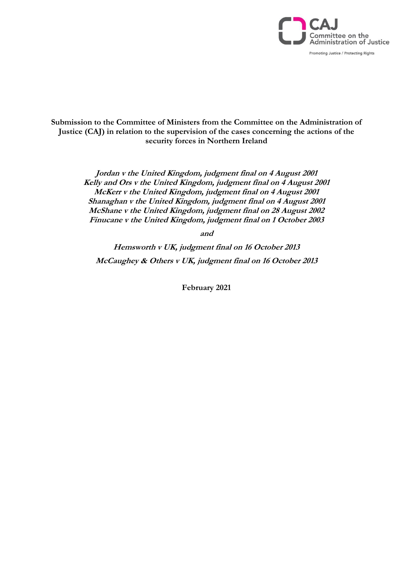

### **Submission to the Committee of Ministers from the Committee on the Administration of Justice (CAJ) in relation to the supervision of the cases concerning the actions of the security forces in Northern Ireland**

**Jordan v the United Kingdom, judgment final on 4 August 2001 Kelly and Ors v the United Kingdom, judgment final on 4 August 2001 McKerr v the United Kingdom, judgment final on 4 August 2001 Shanaghan v the United Kingdom, judgment final on 4 August 2001 McShane v the United Kingdom, judgment final on 28 August 2002 Finucane v the United Kingdom, judgment final on 1 October 2003**

**and** 

**Hemsworth v UK, judgment final on 16 October 2013 McCaughey & Others v UK, judgment final on 16 October 2013**

**February 2021**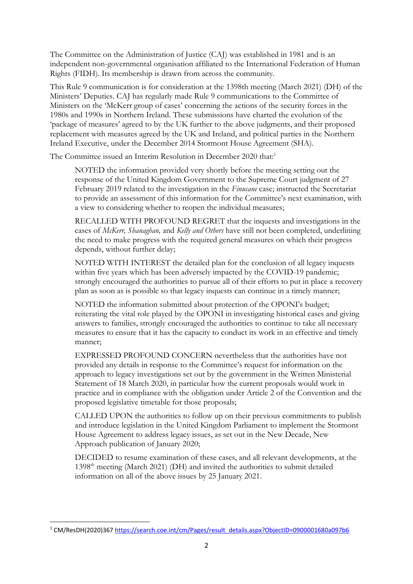The Committee on the Administration of Justice (CAJ) was established in 1981 and is an independent non-governmental organisation affiliated to the International Federation of Human Rights (FIDH). Its membership is drawn from across the community.

This Rule 9 communication is for consideration at the 1398th meeting (March 2021) (DH) of the Ministers' Deputies. CAJ has regularly made Rule 9 communications to the Committee of Ministers on the 'McKerr group of cases' concerning the actions of the security forces in the 1980s and 1990s in Northern Ireland. These submissions have charted the evolution of the 'package of measures' agreed to by the UK further to the above judgments, and their proposed replacement with measures agreed by the UK and Ireland, and political parties in the Northern Ireland Executive, under the December 2014 Stormont House Agreement (SHA).

The Committee issued an Interim Resolution in December 2020 that:<sup>1</sup>

NOTED the information provided very shortly before the meeting setting out the response of the United Kingdom Government to the Supreme Court judgment of 27 February 2019 related to the investigation in the *Finucane* case; instructed the Secretariat to provide an assessment of this information for the Committee's next examination, with a view to considering whether to reopen the individual measures;

RECALLED WITH PROFOUND REGRET that the inquests and investigations in the cases of *McKerr, Shanaghan,* and *Kelly and Others* have still not been completed, underlining the need to make progress with the required general measures on which their progress depends, without further delay;

NOTED WITH INTEREST the detailed plan for the conclusion of all legacy inquests within five years which has been adversely impacted by the COVID-19 pandemic; strongly encouraged the authorities to pursue all of their efforts to put in place a recovery plan as soon as is possible so that legacy inquests can continue in a timely manner;

NOTED the information submitted about protection of the OPONI's budget; reiterating the vital role played by the OPONI in investigating historical cases and giving answers to families, strongly encouraged the authorities to continue to take all necessary measures to ensure that it has the capacity to conduct its work in an effective and timely manner;

EXPRESSED PROFOUND CONCERN nevertheless that the authorities have not provided any details in response to the Committee's request for information on the approach to legacy investigations set out by the government in the Written Ministerial Statement of 18 March 2020, in particular how the current proposals would work in practice and in compliance with the obligation under Article 2 of the Convention and the proposed legislative timetable for those proposals;

CALLED UPON the authorities to follow up on their previous commitments to publish and introduce legislation in the United Kingdom Parliament to implement the Stormont House Agreement to address legacy issues, as set out in the New Decade, New Approach publication of January 2020;

DECIDED to resume examination of these cases, and all relevant developments, at the 1398th meeting (March 2021) (DH) and invited the authorities to submit detailed information on all of the above issues by 25 January 2021.

<sup>&</sup>lt;sup>1</sup> CM/ResDH(2020)367 [https://search.coe.int/cm/Pages/result\\_details.aspx?ObjectID=0900001680a097b6](https://search.coe.int/cm/Pages/result_details.aspx?ObjectID=0900001680a097b6)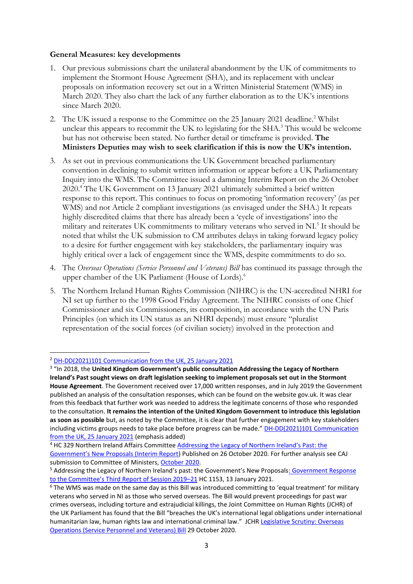#### **General Measures: key developments**

- 1. Our previous submissions chart the unilateral abandonment by the UK of commitments to implement the Stormont House Agreement (SHA), and its replacement with unclear proposals on information recovery set out in a Written Ministerial Statement (WMS) in March 2020. They also chart the lack of any further elaboration as to the UK's intentions since March 2020.
- 2. The UK issued a response to the Committee on the 25 January 2021 deadline.<sup>2</sup> Whilst unclear this appears to recommit the UK to legislating for the SHA.<sup>3</sup> This would be welcome but has not otherwise been stated. No further detail or timeframe is provided. **The Ministers Deputies may wish to seek clarification if this is now the UK's intention.**
- 3. As set out in previous communications the UK Government breached parliamentary convention in declining to submit written information or appear before a UK Parliamentary Inquiry into the WMS. The Committee issued a damning Interim Report on the 26 October 2020.<sup>4</sup> The UK Government on 13 January 2021 ultimately submitted a brief written response to this report. This continues to focus on promoting 'information recovery' (as per WMS) and not Article 2 compliant investigations (as envisaged under the SHA.) It repeats highly discredited claims that there has already been a 'cycle of investigations' into the military and reiterates UK commitments to military veterans who served in NI.<sup>5</sup> It should be noted that whilst the UK submission to CM attributes delays in taking forward legacy policy to a desire for further engagement with key stakeholders, the parliamentary inquiry was highly critical over a lack of engagement since the WMS, despite commitments to do so.
- 4. The *Overseas Operations (Service Personnel and Veterans) Bill* has continued its passage through the upper chamber of the UK Parliament (House of Lords). 6
- 5. The Northern Ireland Human Rights Commission (NIHRC) is the UN-accredited NHRI for NI set up further to the 1998 Good Friday Agreement. The NIHRC consists of one Chief Commissioner and six Commissioners, its composition, in accordance with the UN Paris Principles (on which its UN status as an NHRI depends) must ensure "pluralist representation of the social forces (of civilian society) involved in the protection and

<sup>2</sup> [DH-DD\(2021\)101 Communication from the UK, 25 January 2021](https://search.coe.int/cm/Pages/result_details.aspx?ObjectId=0900001680a13307)

<sup>&</sup>lt;sup>3</sup> "In 2018, the United Kingdom Government's public consultation Addressing the Legacy of Northern **Ireland's Past sought views on draft legislation seeking to implement proposals set out in the Stormont House Agreement**. The Government received over 17,000 written responses, and in July 2019 the Government published an analysis of the consultation responses, which can be found on the website gov.uk. It was clear from this feedback that further work was needed to address the legitimate concerns of those who responded to the consultation. **It remains the intention of the United Kingdom Government to introduce this legislation as soon as possible** but, as noted by the Committee, it is clear that further engagement with key stakeholders including victims groups needs to take place before progress can be made." **DH-DD(2021)101 Communication** [from the UK, 25 January 2021](https://search.coe.int/cm/Pages/result_details.aspx?ObjectId=0900001680a13307) (emphasis added)

<sup>&</sup>lt;sup>4</sup> HC 329 Northern Ireland Affairs Committee Addressing the Legacy of Northern Ireland's Past: the [Government's New Proposals \(Interim Report](https://committees.parliament.uk/committee/120/northern-ireland-affairs-committee/news/120267/legacy-proposals-unilateral-and-unhelpful-say-mps/)) Published on 26 October 2020. For further analysis see CAJ submission to Committee of Ministers[, October 2020.](https://caj.org.uk/2020/12/03/submission-to-the-committee-of-ministers-october-2020/)

<sup>&</sup>lt;sup>5</sup> Addressing the Legacy of Northern Ireland's past: the Government's New Proposals[: Government Response](https://publications.parliament.uk/pa/cm5801/cmselect/cmniaf/1153/115302.htm) [to the Committee's Third Report](https://publications.parliament.uk/pa/cm5801/cmselect/cmniaf/1153/115302.htm) of Session 2019-21 HC 1153, 13 January 2021.

<sup>&</sup>lt;sup>6</sup> The WMS was made on the same day as this Bill was introduced committing to 'equal treatment' for military veterans who served in NI as those who served overseas. The Bill would prevent proceedings for past war crimes overseas, including torture and extrajudicial killings, the Joint Committee on Human Rights (JCHR) of the UK Parliament has found that the Bill "breaches the UK's international legal obligations under international humanitarian law, human rights law and international criminal law." JCHR [Legislative Scrutiny: Overseas](https://committees.parliament.uk/committee/93/human-rights-joint-committee/news/120321/operations-service-personnel-and-veterans-bill-is-unjustifiable-ineffective-and-will-prevent-justice-from-being-done-say-joint-committee-on-human-rights/)  [Operations \(Service Personnel and Veterans\) Bill](https://committees.parliament.uk/committee/93/human-rights-joint-committee/news/120321/operations-service-personnel-and-veterans-bill-is-unjustifiable-ineffective-and-will-prevent-justice-from-being-done-say-joint-committee-on-human-rights/) 29 October 2020.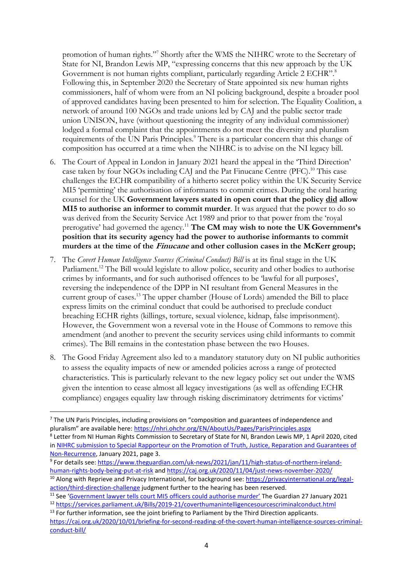promotion of human rights."<sup>7</sup> Shortly after the WMS the NIHRC wrote to the Secretary of State for NI, Brandon Lewis MP, "expressing concerns that this new approach by the UK Government is not human rights compliant, particularly regarding Article 2 ECHR".<sup>8</sup> Following this, in September 2020 the Secretary of State appointed six new human rights commissioners, half of whom were from an NI policing background, despite a broader pool of approved candidates having been presented to him for selection. The Equality Coalition, a network of around 100 NGOs and trade unions led by CAJ and the public sector trade union UNISON, have (without questioning the integrity of any individual commissioner) lodged a formal complaint that the appointments do not meet the diversity and pluralism requirements of the UN Paris Principles.<sup>9</sup> There is a particular concern that this change of composition has occurred at a time when the NIHRC is to advise on the NI legacy bill.

- 6. The Court of Appeal in London in January 2021 heard the appeal in the 'Third Direction' case taken by four NGOs including CAJ and the Pat Finucane Centre (PFC). <sup>10</sup> This case challenges the ECHR compatibility of a hitherto secret policy within the UK Security Service MI5 'permitting' the authorisation of informants to commit crimes. During the oral hearing counsel for the UK **Government lawyers stated in open court that the policy did allow MI5 to authorise an informer to commit murder**. It was argued that the power to do so was derived from the Security Service Act 1989 and prior to that power from the 'royal prerogative' had governed the agency.<sup>11</sup> **The CM may wish to note the UK Government's position that its security agency had the power to authorise informants to commit murders at the time of the Finucane and other collusion cases in the McKerr group;**
- 7. The *Covert Human Intelligence Sources (Criminal Conduct) Bill* is at its final stage in the UK Parliament.<sup>12</sup> The Bill would legislate to allow police, security and other bodies to authorise crimes by informants, and for such authorised offences to be 'lawful for all purposes', reversing the independence of the DPP in NI resultant from General Measures in the current group of cases.<sup>13</sup> The upper chamber (House of Lords) amended the Bill to place express limits on the criminal conduct that could be authorised to preclude conduct breaching ECHR rights (killings, torture, sexual violence, kidnap, false imprisonment). However, the Government won a reversal vote in the House of Commons to remove this amendment (and another to prevent the security services using child informants to commit crimes). The Bill remains in the contestation phase between the two Houses.
- 8. The Good Friday Agreement also led to a mandatory statutory duty on NI public authorities to assess the equality impacts of new or amended policies across a range of protected characteristics. This is particularly relevant to the new legacy policy set out under the WMS given the intention to cease almost all legacy investigations (as well as offending ECHR compliance) engages equality law through risking discriminatory detriments for victims'

 $<sup>7</sup>$  The UN Paris Principles, including provisions on "composition and guarantees of independence and</sup> pluralism" are available here: <https://nhri.ohchr.org/EN/AboutUs/Pages/ParisPrinciples.aspx> <sup>8</sup> Letter from NI Human Rights Commission to Secretary of State for NI, Brandon Lewis MP, 1 April 2020, cited in [NIHRC submission to Special Rapporteur on the Promotion of Truth, Justice, Reparation and Guarantees of](https://www.nihrc.org/publication/detail/submission-special-rapporteur-on-the-promotion-of-truth-justice-reparation-and-guarantees-of-non-recurrence)  [Non-Recurrence,](https://www.nihrc.org/publication/detail/submission-special-rapporteur-on-the-promotion-of-truth-justice-reparation-and-guarantees-of-non-recurrence) January 2021, page 3.

<sup>&</sup>lt;sup>9</sup> For details see: [https://www.theguardian.com/uk-news/2021/jan/11/high-status-of-northern-ireland](https://www.theguardian.com/uk-news/2021/jan/11/high-status-of-northern-ireland-human-rights-body-being-put-at-risk)[human-rights-body-being-put-at-risk](https://www.theguardian.com/uk-news/2021/jan/11/high-status-of-northern-ireland-human-rights-body-being-put-at-risk) and<https://caj.org.uk/2020/11/04/just-news-november-2020/>

<sup>&</sup>lt;sup>10</sup> Along with Reprieve and Privacy International, for background see[: https://privacyinternational.org/legal](https://privacyinternational.org/legal-action/third-direction-challenge)[action/third-direction-challenge](https://privacyinternational.org/legal-action/third-direction-challenge) judgment further to the hearing has been reserved.

<sup>11</sup> See ['Government lawyer tells court MI5 officers could authorise murder'](https://www.theguardian.com/uk-news/2021/jan/27/government-lawyer-tells-court-m15-officers-could-authorise) The Guardian 27 January 2021

<sup>12</sup> <https://services.parliament.uk/Bills/2019-21/coverthumanintelligencesourcescriminalconduct.html> <sup>13</sup> For further information, see the joint briefing to Parliament by the Third Direction applicants.

[https://caj.org.uk/2020/10/01/briefing-for-second-reading-of-the-covert-human-intelligence-sources-criminal](https://caj.org.uk/2020/10/01/briefing-for-second-reading-of-the-covert-human-intelligence-sources-criminal-conduct-bill/)[conduct-bill/](https://caj.org.uk/2020/10/01/briefing-for-second-reading-of-the-covert-human-intelligence-sources-criminal-conduct-bill/)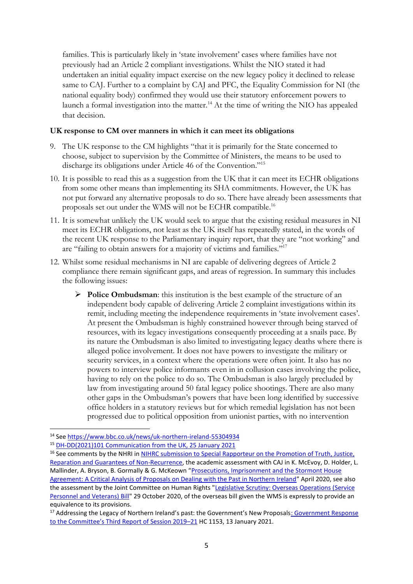families. This is particularly likely in 'state involvement' cases where families have not previously had an Article 2 compliant investigations. Whilst the NIO stated it had undertaken an initial equality impact exercise on the new legacy policy it declined to release same to CAJ. Further to a complaint by CAJ and PFC, the Equality Commission for NI (the national equality body) confirmed they would use their statutory enforcement powers to launch a formal investigation into the matter.<sup>14</sup> At the time of writing the NIO has appealed that decision.

#### **UK response to CM over manners in which it can meet its obligations**

- 9. The UK response to the CM highlights "that it is primarily for the State concerned to choose, subject to supervision by the Committee of Ministers, the means to be used to discharge its obligations under Article 46 of the Convention."<sup>15</sup>
- 10. It is possible to read this as a suggestion from the UK that it can meet its ECHR obligations from some other means than implementing its SHA commitments. However, the UK has not put forward any alternative proposals to do so. There have already been assessments that proposals set out under the WMS will not be ECHR compatible.<sup>16</sup>
- 11. It is somewhat unlikely the UK would seek to argue that the existing residual measures in NI meet its ECHR obligations, not least as the UK itself has repeatedly stated, in the words of the recent UK response to the Parliamentary inquiry report, that they are "not working" and are "failing to obtain answers for a majority of victims and families."<sup>17</sup>
- 12. Whilst some residual mechanisms in NI are capable of delivering degrees of Article 2 compliance there remain significant gaps, and areas of regression. In summary this includes the following issues:
	- ➢ **Police Ombudsman**: this institution is the best example of the structure of an independent body capable of delivering Article 2 complaint investigations within its remit, including meeting the independence requirements in 'state involvement cases'. At present the Ombudsman is highly constrained however through being starved of resources, with its legacy investigations consequently proceeding at a snails pace. By its nature the Ombudsman is also limited to investigating legacy deaths where there is alleged police involvement. It does not have powers to investigate the military or security services, in a context where the operations were often joint. It also has no powers to interview police informants even in in collusion cases involving the police, having to rely on the police to do so. The Ombudsman is also largely precluded by law from investigating around 50 fatal legacy police shootings. There are also many other gaps in the Ombudsman's powers that have been long identified by successive office holders in a statutory reviews but for which remedial legislation has not been progressed due to political opposition from unionist parties, with no intervention

<sup>14</sup> Se[e https://www.bbc.co.uk/news/uk-northern-ireland-55304934](https://www.bbc.co.uk/news/uk-northern-ireland-55304934)

<sup>15</sup> [DH-DD\(2021\)101 Communication from the UK, 25 January 2021](https://search.coe.int/cm/Pages/result_details.aspx?ObjectId=0900001680a13307)

<sup>&</sup>lt;sup>16</sup> See comments by the NHRI in NIHRC submission to Special Rapporteur on the Promotion of Truth, Justice, [Reparation and Guarantees of Non-Recurrence,](https://www.nihrc.org/publication/detail/submission-special-rapporteur-on-the-promotion-of-truth-justice-reparation-and-guarantees-of-non-recurrence) the academic assessment with CAJ in K. McEvoy, D. Holder, L. Mallinder, A. Bryson, B. Gormally & G. McKeown "[Prosecutions, Imprisonment and the Stormont House](https://www.dealingwiththepastni.com/project-outputs/project-reports)  [Agreement: A Critical Analysis of Proposals on Dealing with the Past in Northern Ireland](https://www.dealingwiththepastni.com/project-outputs/project-reports)" April 2020, see also the assessment by the Joint Committee on Human Rights "Legislative Scrutiny: Overseas Operations (Service [Personnel and Veterans\) Bill"](https://committees.parliament.uk/committee/93/human-rights-joint-committee/news/120321/operations-service-personnel-and-veterans-bill-is-unjustifiable-ineffective-and-will-prevent-justice-from-being-done-say-joint-committee-on-human-rights/) 29 October 2020, of the overseas bill given the WMS is expressly to provide an equivalence to its provisions.

<sup>&</sup>lt;sup>17</sup> Addressing the Legacy of Northern Ireland's past: the Government's New Proposals[: Government Response](https://publications.parliament.uk/pa/cm5801/cmselect/cmniaf/1153/115302.htm) [to the Committee's Third Report of Session 2019–](https://publications.parliament.uk/pa/cm5801/cmselect/cmniaf/1153/115302.htm)21 HC 1153, 13 January 2021.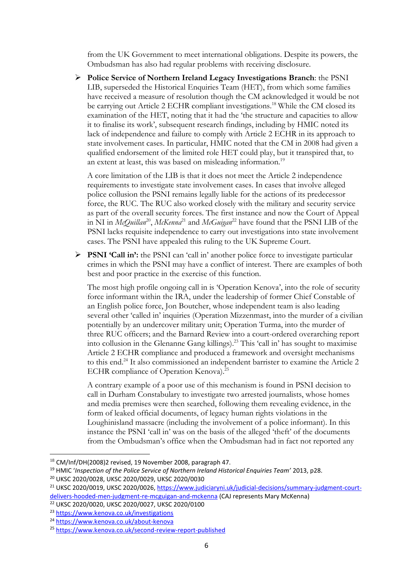from the UK Government to meet international obligations. Despite its powers, the Ombudsman has also had regular problems with receiving disclosure.

➢ **Police Service of Northern Ireland Legacy Investigations Branch**: the PSNI LIB, superseded the Historical Enquiries Team (HET), from which some families have received a measure of resolution though the CM acknowledged it would be not be carrying out Article 2 ECHR compliant investigations.<sup>18</sup> While the CM closed its examination of the HET, noting that it had the 'the structure and capacities to allow it to finalise its work', subsequent research findings, including by HMIC noted its lack of independence and failure to comply with Article 2 ECHR in its approach to state involvement cases. In particular, HMIC noted that the CM in 2008 had given a qualified endorsement of the limited role HET could play, but it transpired that, to an extent at least, this was based on misleading information.<sup>19</sup>

A core limitation of the LIB is that it does not meet the Article 2 independence requirements to investigate state involvement cases. In cases that involve alleged police collusion the PSNI remains legally liable for the actions of its predecessor force, the RUC. The RUC also worked closely with the military and security service as part of the overall security forces. The first instance and now the Court of Appeal in NI in *McQuillan<sup>20</sup>*, *McKenna*<sup>21</sup> and *McGuigan*<sup>22</sup> have found that the PSNI LIB of the PSNI lacks requisite independence to carry out investigations into state involvement cases. The PSNI have appealed this ruling to the UK Supreme Court.

➢ **PSNI 'Call in':** the PSNI can 'call in' another police force to investigate particular crimes in which the PSNI may have a conflict of interest. There are examples of both best and poor practice in the exercise of this function.

The most high profile ongoing call in is 'Operation Kenova', into the role of security force informant within the IRA, under the leadership of former Chief Constable of an English police force, Jon Boutcher, whose independent team is also leading several other 'called in' inquiries (Operation Mizzenmast, into the murder of a civilian potentially by an undercover military unit; Operation Turma, into the murder of three RUC officers; and the Barnard Review into a court-ordered overarching report into collusion in the Glenanne Gang killings). <sup>23</sup> This 'call in' has sought to maximise Article 2 ECHR compliance and produced a framework and oversight mechanisms to this end.<sup>24</sup> It also commissioned an independent barrister to examine the Article 2 ECHR compliance of Operation Kenova).<sup>25</sup>

A contrary example of a poor use of this mechanism is found in PSNI decision to call in Durham Constabulary to investigate two arrested journalists, whose homes and media premises were then searched, following them revealing evidence, in the form of leaked official documents, of legacy human rights violations in the Loughinisland massacre (including the involvement of a police informant). In this instance the PSNI 'call in' was on the basis of the alleged 'theft' of the documents from the Ombudsman's office when the Ombudsman had in fact not reported any

<sup>18</sup> CM/Inf/DH(2008)2 revised, 19 November 2008, paragraph 47.

<sup>19</sup> HMIC '*Inspection of the Police Service of Northern Ireland Historical Enquiries Team'* 2013, p28.

<sup>20</sup> UKSC 2020/0028, UKSC 2020/0029, UKSC 2020/0030

<sup>&</sup>lt;sup>21</sup> UKSC 2020/0019, UKSC 2020/0026, [https://www.judiciaryni.uk/judicial-decisions/summary-judgment-court](https://www.judiciaryni.uk/judicial-decisions/summary-judgment-court-delivers-hooded-men-judgment-re-mcguigan-and-mckenna)[delivers-hooded-men-judgment-re-mcguigan-and-mckenna](https://www.judiciaryni.uk/judicial-decisions/summary-judgment-court-delivers-hooded-men-judgment-re-mcguigan-and-mckenna) (CAJ represents Mary McKenna)

<sup>22</sup> UKSC 2020/0020, UKSC 2020/0027, UKSC 2020/0100

<sup>23</sup> <https://www.kenova.co.uk/investigations>

<sup>24</sup> <https://www.kenova.co.uk/about-kenova>

<sup>25</sup> <https://www.kenova.co.uk/second-review-report-published>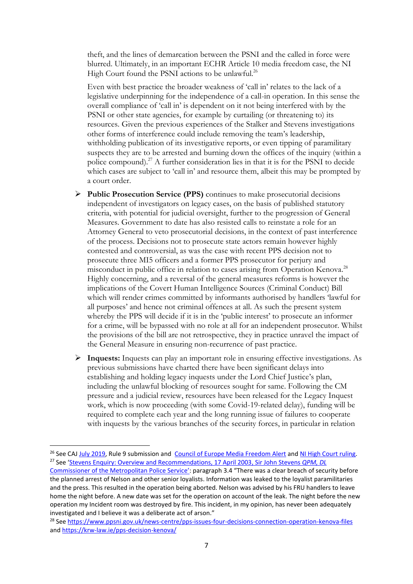theft, and the lines of demarcation between the PSNI and the called in force were blurred. Ultimately, in an important ECHR Article 10 media freedom case, the NI High Court found the PSNI actions to be unlawful.<sup>26</sup>

Even with best practice the broader weakness of 'call in' relates to the lack of a legislative underpinning for the independence of a call-in operation. In this sense the overall compliance of 'call in' is dependent on it not being interfered with by the PSNI or other state agencies, for example by curtailing (or threatening to) its resources. Given the previous experiences of the Stalker and Stevens investigations other forms of interference could include removing the team's leadership, withholding publication of its investigative reports, or even tipping of paramilitary suspects they are to be arrested and burning down the offices of the inquiry (within a police compound). <sup>27</sup> A further consideration lies in that it is for the PSNI to decide which cases are subject to 'call in' and resource them, albeit this may be prompted by a court order.

- ➢ **Public Prosecution Service (PPS)** continues to make prosecutorial decisions independent of investigators on legacy cases, on the basis of published statutory criteria, with potential for judicial oversight, further to the progression of General Measures. Government to date has also resisted calls to reinstate a role for an Attorney General to veto prosecutorial decisions, in the context of past interference of the process. Decisions not to prosecute state actors remain however highly contested and controversial, as was the case with recent PPS decision not to prosecute three MI5 officers and a former PPS prosecutor for perjury and misconduct in public office in relation to cases arising from Operation Kenova.<sup>28</sup> Highly concerning, and a reversal of the general measures reforms is however the implications of the Covert Human Intelligence Sources (Criminal Conduct) Bill which will render crimes committed by informants authorised by handlers 'lawful for all purposes' and hence not criminal offences at all. As such the present system whereby the PPS will decide if it is in the 'public interest' to prosecute an informer for a crime, will be bypassed with no role at all for an independent prosecutor. Whilst the provisions of the bill are not retrospective, they in practice unravel the impact of the General Measure in ensuring non-recurrence of past practice.
- ➢ **Inquests:** Inquests can play an important role in ensuring effective investigations. As previous submissions have charted there have been significant delays into establishing and holding legacy inquests under the Lord Chief Justice's plan, including the unlawful blocking of resources sought for same. Following the CM pressure and a judicial review, resources have been released for the Legacy Inquest work, which is now proceeding (with some Covid-19-related delay), funding will be required to complete each year and the long running issue of failures to cooperate with inquests by the various branches of the security forces, in particular in relation

<sup>&</sup>lt;sup>26</sup> See CAJ [July 2019,](file:///D:/Downloads/July%202019) Rule 9 submission and [Council of Europe Media Freedom Alert](https://www.coe.int/en/web/media-freedom/detail-alert?p_p_id=sojdashboard_WAR_coesojportlet&p_p_lifecycle=0&p_p_col_id=column-1&p_p_col_count=1&_sojdashboard_WAR_coesojportlet_alertId=39053000) an[d NI High Court ruling.](https://judiciaryni.uk/sites/judiciary/files/decisions/Summary%20of%20judgment%20-%20In%20re%20Fine%20Point%20Films%20-%2010.07.20.pdf) <sup>27</sup> See '[Stevens Enquiry: Overview and Recommendations, 17 April 2003, Sir John Stevens](https://cain.ulster.ac.uk/issues/collusion/stevens3/stevens3summary.htm) *QPM, DL*

[Commissioner of the Metropolitan Police Service](https://cain.ulster.ac.uk/issues/collusion/stevens3/stevens3summary.htm)': paragraph 3.4 "There was a clear breach of security before the planned arrest of Nelson and other senior loyalists. Information was leaked to the loyalist paramilitaries and the press. This resulted in the operation being aborted. Nelson was advised by his FRU handlers to leave home the night before. A new date was set for the operation on account of the leak. The night before the new operation my Incident room was destroyed by fire. This incident, in my opinion, has never been adequately investigated and I believe it was a deliberate act of arson."

<sup>28</sup> Se[e https://www.ppsni.gov.uk/news-centre/pps-issues-four-decisions-connection-operation-kenova-files](https://www.ppsni.gov.uk/news-centre/pps-issues-four-decisions-connection-operation-kenova-files) an[d https://krw-law.ie/pps-decision-kenova/](https://krw-law.ie/pps-decision-kenova/)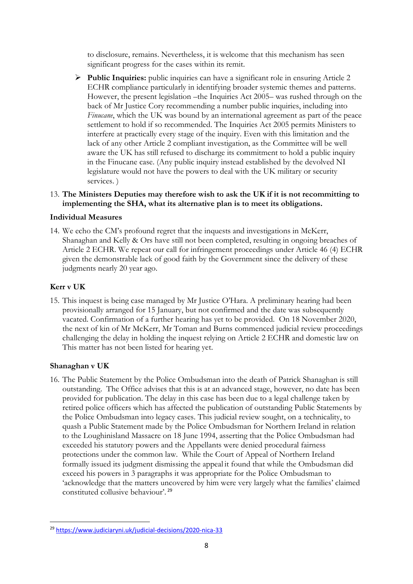to disclosure, remains. Nevertheless, it is welcome that this mechanism has seen significant progress for the cases within its remit.

➢ **Public Inquiries:** public inquiries can have a significant role in ensuring Article 2 ECHR compliance particularly in identifying broader systemic themes and patterns. However, the present legislation –the Inquiries Act 2005– was rushed through on the back of Mr Justice Cory recommending a number public inquiries, including into *Finucane*, which the UK was bound by an international agreement as part of the peace settlement to hold if so recommended. The Inquiries Act 2005 permits Ministers to interfere at practically every stage of the inquiry. Even with this limitation and the lack of any other Article 2 compliant investigation, as the Committee will be well aware the UK has still refused to discharge its commitment to hold a public inquiry in the Finucane case. (Any public inquiry instead established by the devolved NI legislature would not have the powers to deal with the UK military or security services. )

### 13. **The Ministers Deputies may therefore wish to ask the UK if it is not recommitting to implementing the SHA, what its alternative plan is to meet its obligations.**

### **Individual Measures**

14. We echo the CM's profound regret that the inquests and investigations in McKerr, Shanaghan and Kelly & Ors have still not been completed, resulting in ongoing breaches of Article 2 ECHR. We repeat our call for infringement proceedings under Article 46 (4) ECHR given the demonstrable lack of good faith by the Government since the delivery of these judgments nearly 20 year ago.

# **Kerr v UK**

15. This inquest is being case managed by Mr Justice O'Hara. A preliminary hearing had been provisionally arranged for 15 January, but not confirmed and the date was subsequently vacated. Confirmation of a further hearing has yet to be provided. On 18 November 2020, the next of kin of Mr McKerr, Mr Toman and Burns commenced judicial review proceedings challenging the delay in holding the inquest relying on Article 2 ECHR and domestic law on This matter has not been listed for hearing yet.

# **Shanaghan v UK**

16. The Public Statement by the Police Ombudsman into the death of Patrick Shanaghan is still outstanding. The Office advises that this is at an advanced stage, however, no date has been provided for publication. The delay in this case has been due to a legal challenge taken by retired police officers which has affected the publication of outstanding Public Statements by the Police Ombudsman into legacy cases. This judicial review sought, on a technicality, to quash a Public Statement made by the Police Ombudsman for Northern Ireland in relation to the Loughinisland Massacre on 18 June 1994, asserting that the Police Ombudsman had exceeded his statutory powers and the Appellants were denied procedural fairness protections under the common law.While the Court of Appeal of Northern Ireland formally issued its judgment dismissing the appeal it found that while the Ombudsman did exceed his powers in 3 paragraphs it was appropriate for the Police Ombudsman to 'acknowledge that the matters uncovered by him were very largely what the families' claimed constituted collusive behaviour'. <sup>29</sup>

<sup>29</sup> <https://www.judiciaryni.uk/judicial-decisions/2020-nica-33>